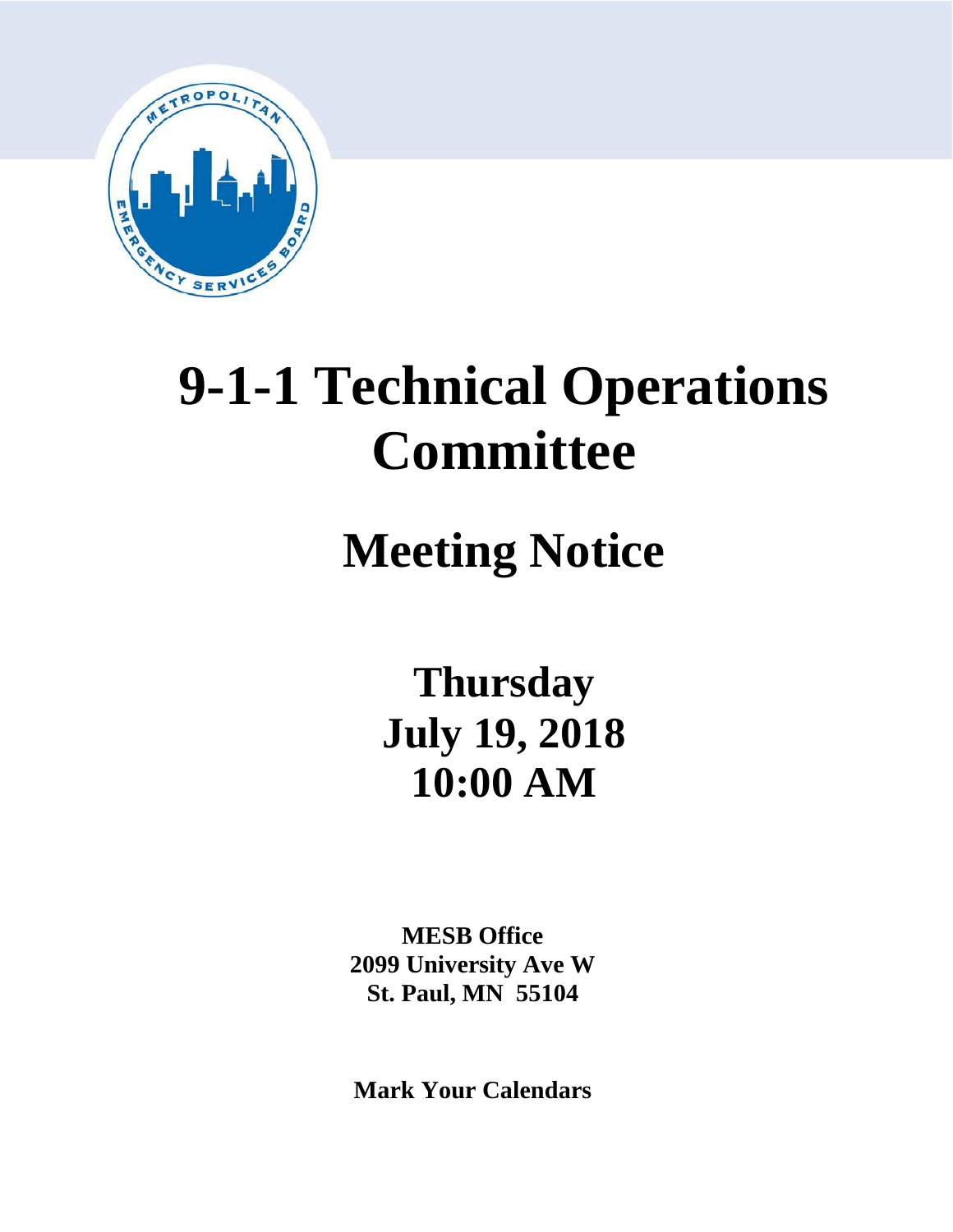

# **9-1-1 Technical Operations Committee**

# **Meeting Notice**

**Thursday July 19, 2018 10:00 AM**

**MESB Office 2099 University Ave W St. Paul, MN 55104**

**Mark Your Calendars**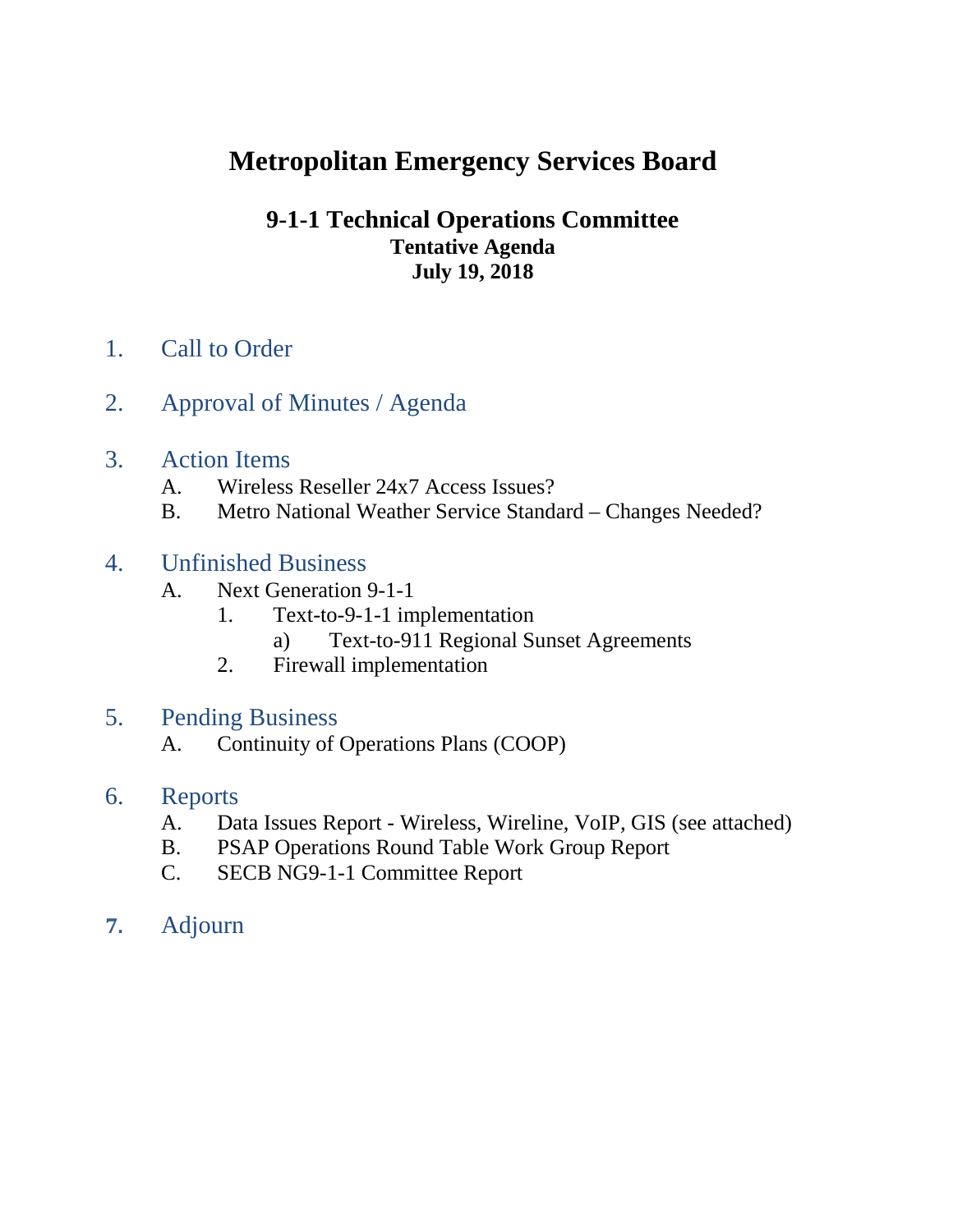# **Metropolitan Emergency Services Board**

# **9-1-1 Technical Operations Committee Tentative Agenda July 19, 2018**

- 1. Call to Order
- 2. Approval of Minutes / Agenda
- 3. Action Items
	- A. Wireless Reseller 24x7 Access Issues?
	- B. Metro National Weather Service Standard Changes Needed?
- 4. Unfinished Business
	- A. Next Generation 9-1-1
		- 1. Text-to-9-1-1 implementation
			- a) Text-to-911 Regional Sunset Agreements
		- 2. Firewall implementation
- 5. Pending Business
	- A. Continuity of Operations Plans (COOP)
- 6. Reports
	- A. Data Issues Report Wireless, Wireline, VoIP, GIS (see attached)
	- B. PSAP Operations Round Table Work Group Report
	- C. SECB NG9-1-1 Committee Report
- **7.** Adjourn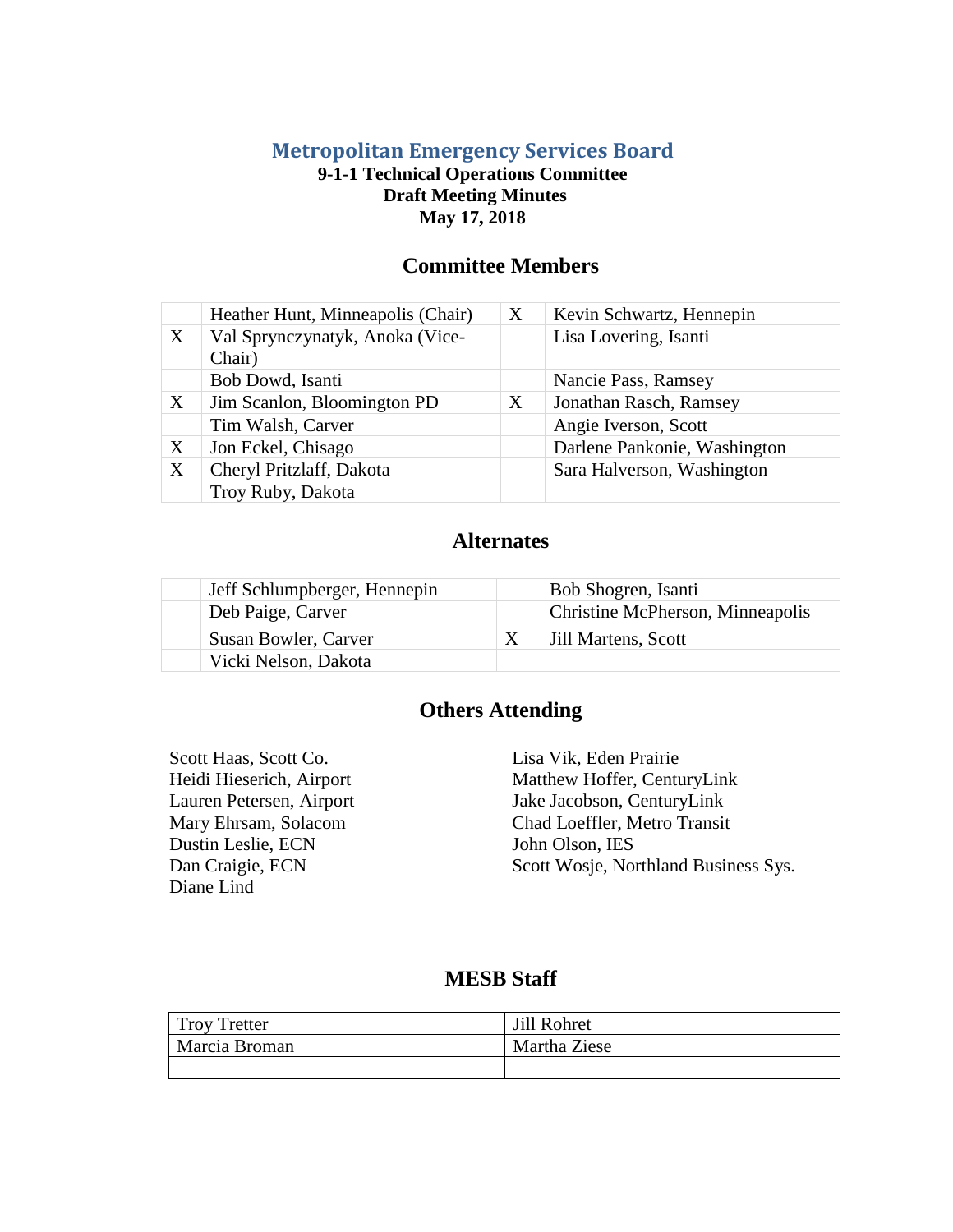# **Metropolitan Emergency Services Board**

# **9-1-1 Technical Operations Committee Draft Meeting Minutes May 17, 2018**

# **Committee Members**

|   | Heather Hunt, Minneapolis (Chair)         | X | Kevin Schwartz, Hennepin     |
|---|-------------------------------------------|---|------------------------------|
| X | Val Sprynczynatyk, Anoka (Vice-<br>Chair) |   | Lisa Lovering, Isanti        |
|   | Bob Dowd, Isanti                          |   | Nancie Pass, Ramsey          |
| X | Jim Scanlon, Bloomington PD               | X | Jonathan Rasch, Ramsey       |
|   | Tim Walsh, Carver                         |   | Angie Iverson, Scott         |
| X | Jon Eckel, Chisago                        |   | Darlene Pankonie, Washington |
| X | Cheryl Pritzlaff, Dakota                  |   | Sara Halverson, Washington   |
|   | Troy Ruby, Dakota                         |   |                              |

# **Alternates**

| Jeff Schlumpberger, Hennepin | Bob Shogren, Isanti              |
|------------------------------|----------------------------------|
| Deb Paige, Carver            | Christine McPherson, Minneapolis |
| Susan Bowler, Carver         | Jill Martens, Scott              |
| Vicki Nelson, Dakota         |                                  |

# **Others Attending**

Scott Haas, Scott Co. Lisa Vik, Eden Prairie Dustin Leslie, ECN John Olson, IES Diane Lind

Heidi Hieserich, Airport Matthew Hoffer, CenturyLink<br>
Lauren Petersen, Airport Jake Jacobson, CenturyLink Jake Jacobson, CenturyLink Mary Ehrsam, Solacom Chad Loeffler, Metro Transit Dan Craigie, ECN Scott Wosje, Northland Business Sys.

# **MESB Staff**

| <b>Troy Tretter</b> | Jill Rohret  |
|---------------------|--------------|
| Marcia Broman       | Martha Ziese |
|                     |              |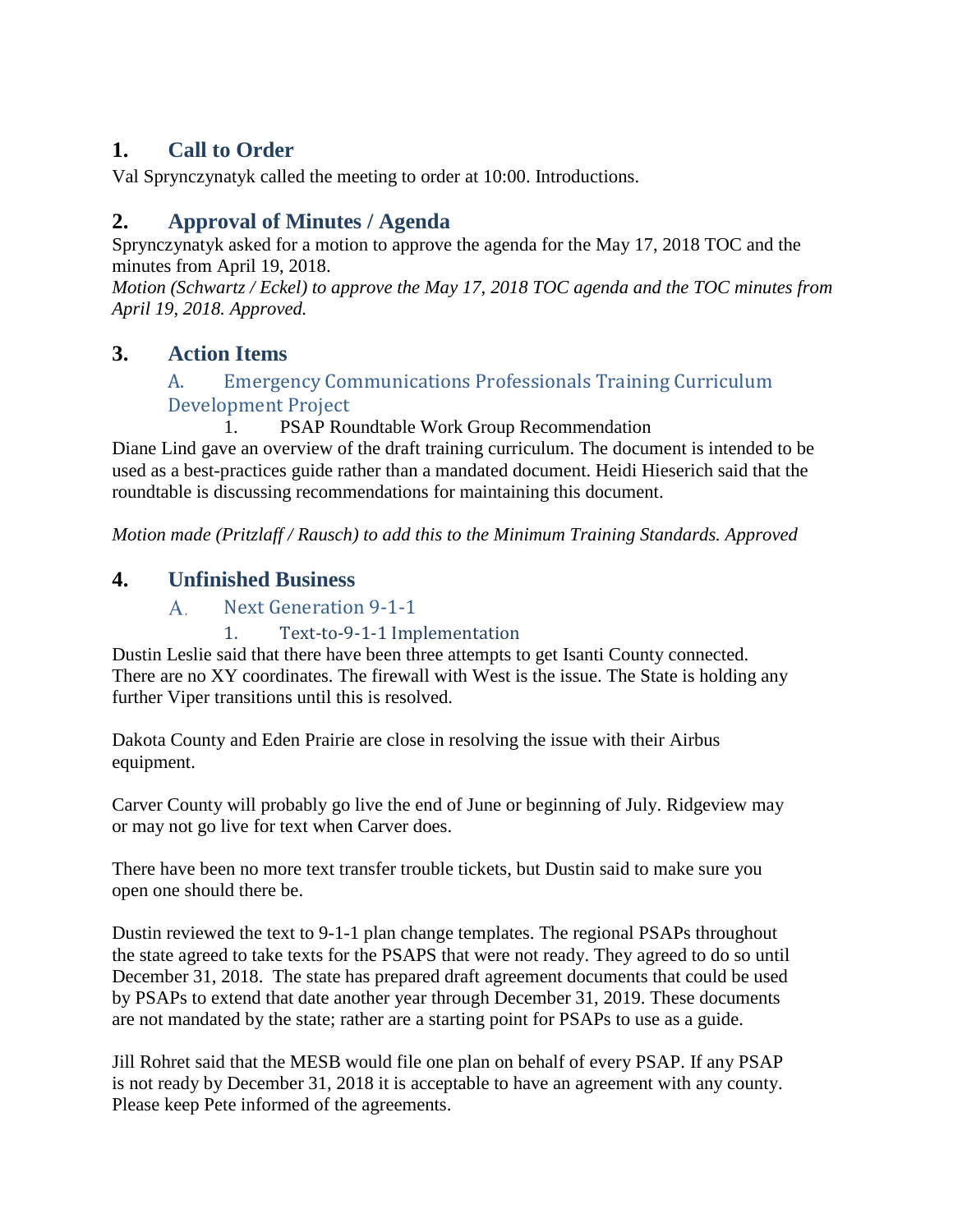# **1. Call to Order**

Val Sprynczynatyk called the meeting to order at 10:00. Introductions.

# **2. Approval of Minutes / Agenda**

Sprynczynatyk asked for a motion to approve the agenda for the May 17, 2018 TOC and the minutes from April 19, 2018.

*Motion (Schwartz / Eckel) to approve the May 17, 2018 TOC agenda and the TOC minutes from April 19, 2018. Approved.*

# **3. Action Items**

# A. Emergency Communications Professionals Training Curriculum Development Project

PSAP Roundtable Work Group Recommendation Diane Lind gave an overview of the draft training curriculum. The document is intended to be used as a best-practices guide rather than a mandated document. Heidi Hieserich said that the roundtable is discussing recommendations for maintaining this document.

*Motion made (Pritzlaff / Rausch) to add this to the Minimum Training Standards. Approved*

# **4. Unfinished Business**

#### $A_{\cdot}$ Next Generation 9-1-1

# 1. Text-to-9-1-1 Implementation

Dustin Leslie said that there have been three attempts to get Isanti County connected. There are no XY coordinates. The firewall with West is the issue. The State is holding any further Viper transitions until this is resolved.

Dakota County and Eden Prairie are close in resolving the issue with their Airbus equipment.

Carver County will probably go live the end of June or beginning of July. Ridgeview may or may not go live for text when Carver does.

There have been no more text transfer trouble tickets, but Dustin said to make sure you open one should there be.

Dustin reviewed the text to 9-1-1 plan change templates. The regional PSAPs throughout the state agreed to take texts for the PSAPS that were not ready. They agreed to do so until December 31, 2018. The state has prepared draft agreement documents that could be used by PSAPs to extend that date another year through December 31, 2019. These documents are not mandated by the state; rather are a starting point for PSAPs to use as a guide.

Jill Rohret said that the MESB would file one plan on behalf of every PSAP. If any PSAP is not ready by December 31, 2018 it is acceptable to have an agreement with any county. Please keep Pete informed of the agreements.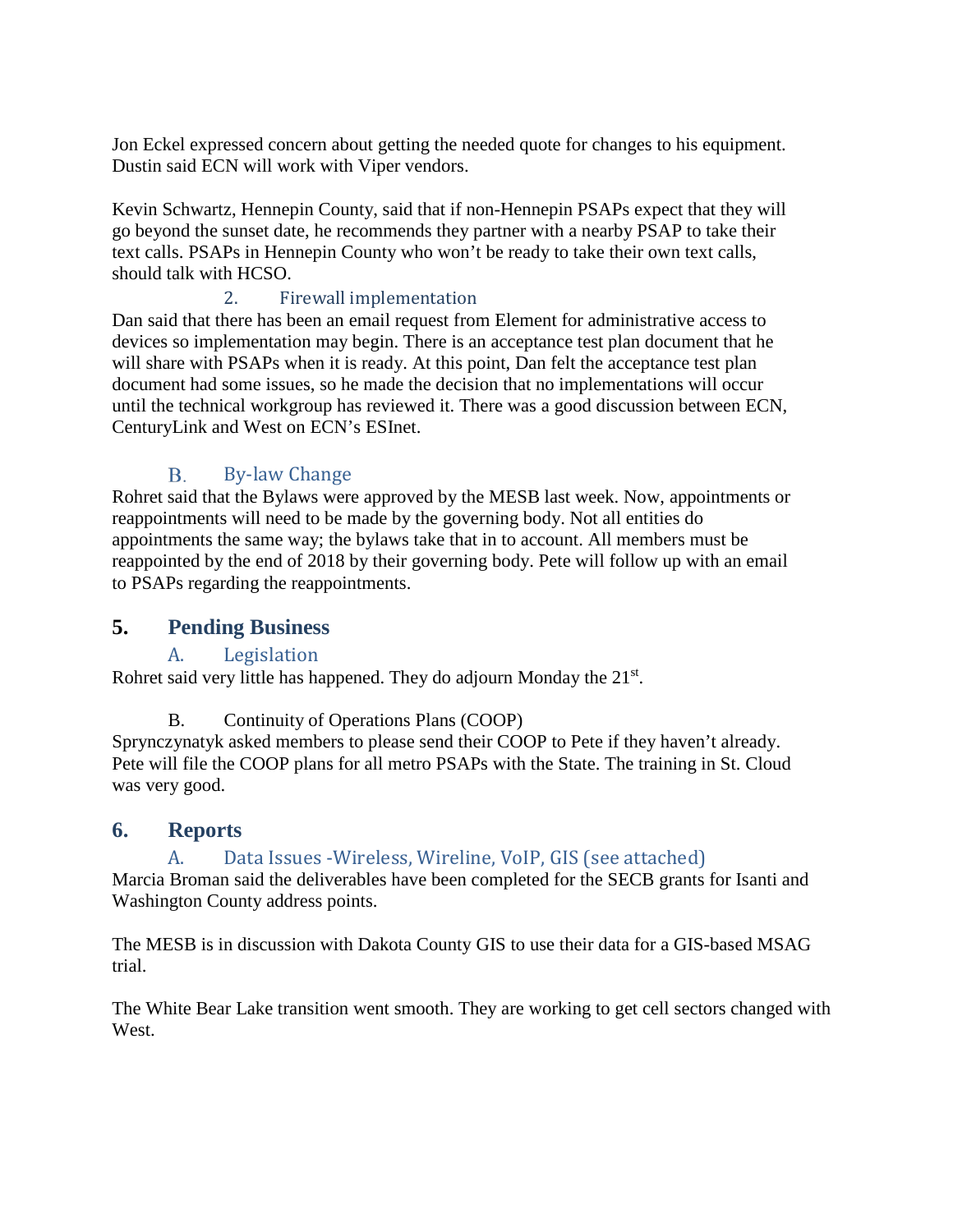Jon Eckel expressed concern about getting the needed quote for changes to his equipment. Dustin said ECN will work with Viper vendors.

Kevin Schwartz, Hennepin County, said that if non-Hennepin PSAPs expect that they will go beyond the sunset date, he recommends they partner with a nearby PSAP to take their text calls. PSAPs in Hennepin County who won't be ready to take their own text calls, should talk with HCSO.

# 2. Firewall implementation

Dan said that there has been an email request from Element for administrative access to devices so implementation may begin. There is an acceptance test plan document that he will share with PSAPs when it is ready. At this point, Dan felt the acceptance test plan document had some issues, so he made the decision that no implementations will occur until the technical workgroup has reviewed it. There was a good discussion between ECN, CenturyLink and West on ECN's ESInet.

#### $B<sub>r</sub>$ By-law Change

Rohret said that the Bylaws were approved by the MESB last week. Now, appointments or reappointments will need to be made by the governing body. Not all entities do appointments the same way; the bylaws take that in to account. All members must be reappointed by the end of 2018 by their governing body. Pete will follow up with an email to PSAPs regarding the reappointments.

# **5. Pending Business**

# A. Legislation

Rohret said very little has happened. They do adjourn Monday the 21<sup>st</sup>.

# B. Continuity of Operations Plans (COOP)

Sprynczynatyk asked members to please send their COOP to Pete if they haven't already. Pete will file the COOP plans for all metro PSAPs with the State. The training in St. Cloud was very good.

# **6. Reports**

# A. Data Issues -Wireless, Wireline, VoIP, GIS (see attached)

Marcia Broman said the deliverables have been completed for the SECB grants for Isanti and Washington County address points.

The MESB is in discussion with Dakota County GIS to use their data for a GIS-based MSAG trial.

The White Bear Lake transition went smooth. They are working to get cell sectors changed with West.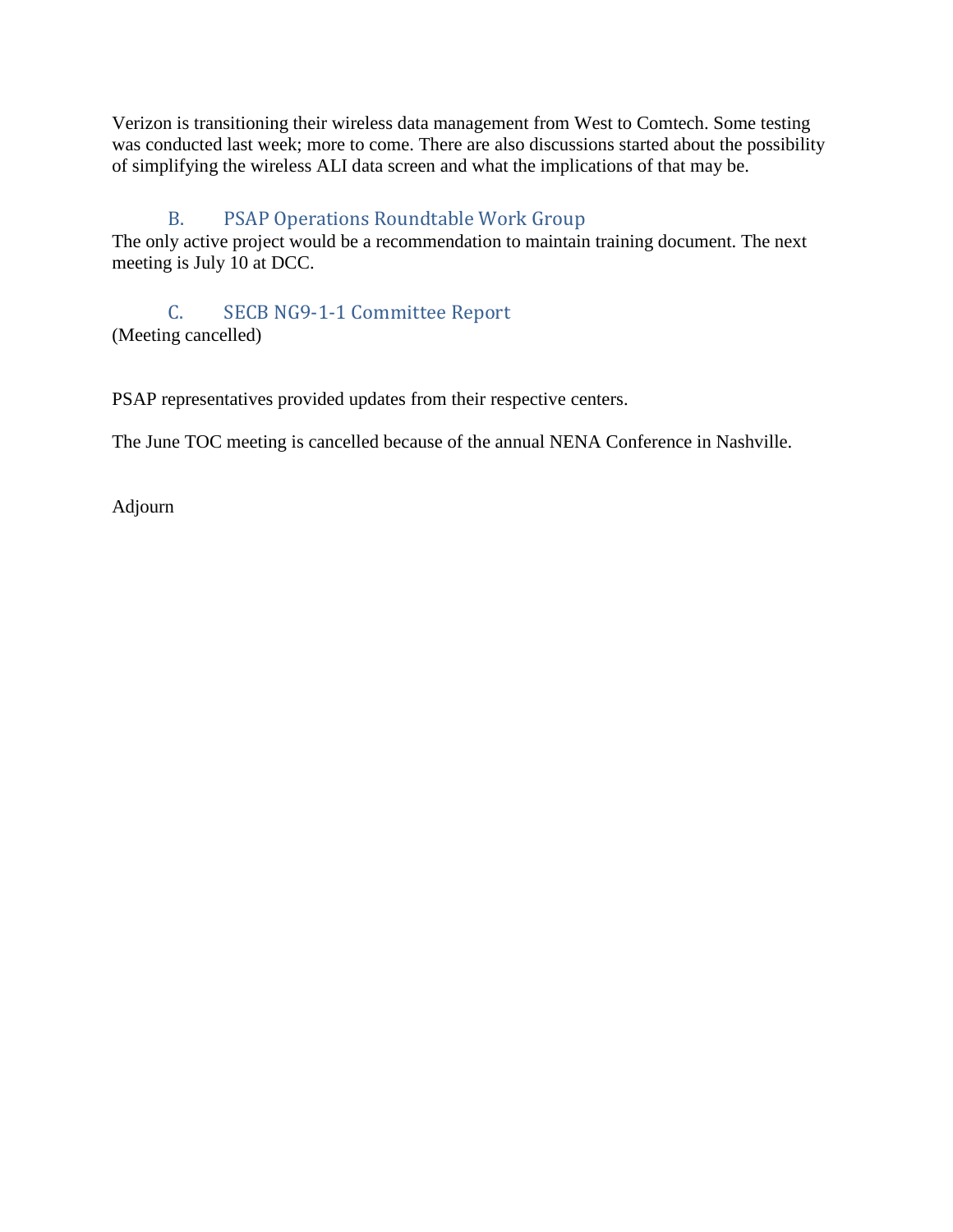Verizon is transitioning their wireless data management from West to Comtech. Some testing was conducted last week; more to come. There are also discussions started about the possibility of simplifying the wireless ALI data screen and what the implications of that may be.

# B. PSAP Operations Roundtable Work Group

The only active project would be a recommendation to maintain training document. The next meeting is July 10 at DCC.

C. SECB NG9-1-1 Committee Report (Meeting cancelled)

PSAP representatives provided updates from their respective centers.

The June TOC meeting is cancelled because of the annual NENA Conference in Nashville.

Adjourn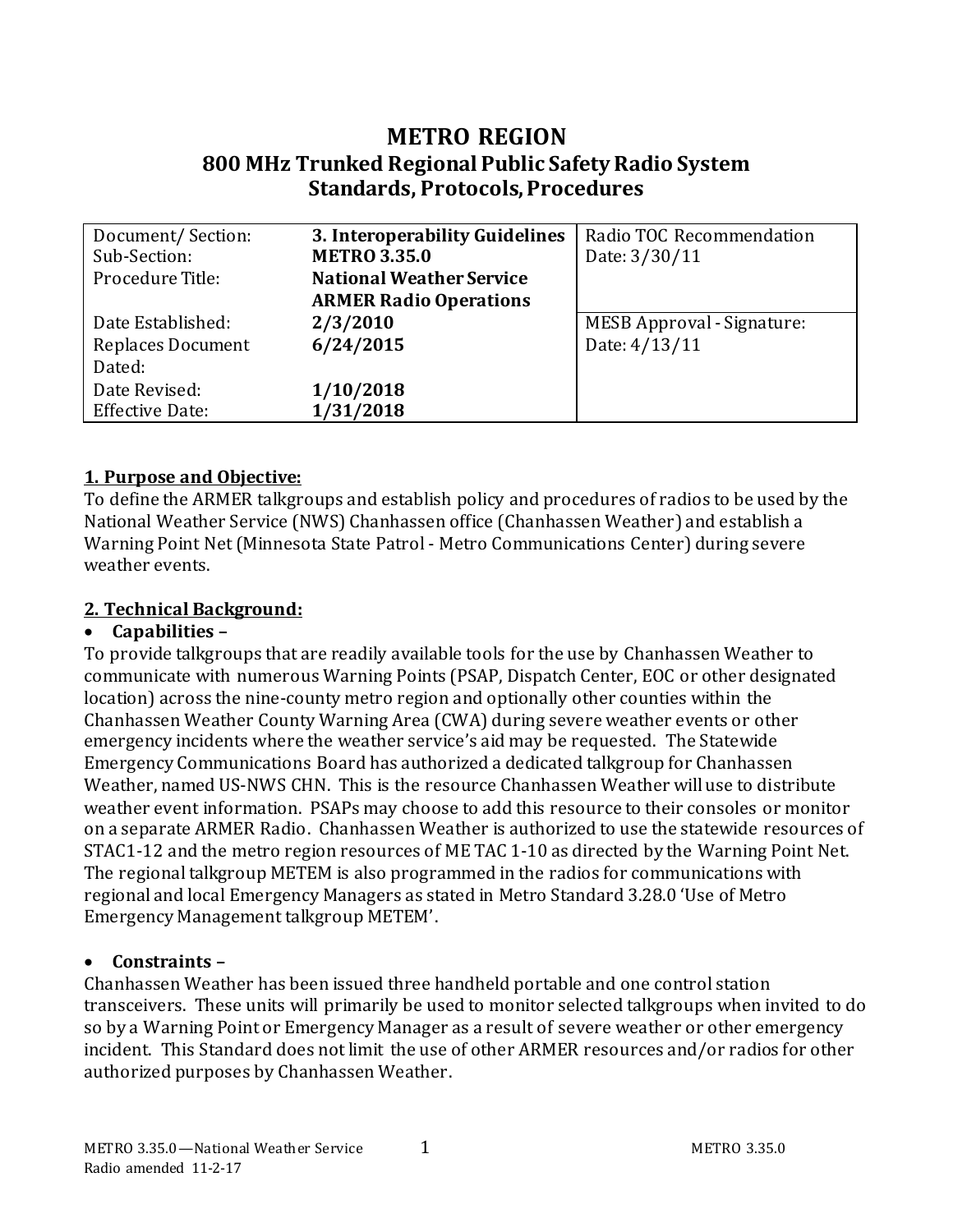# **METRO REGION 800 MHz Trunked Regional Public Safety Radio System Standards, Protocols, Procedures**

| 3. Interoperability Guidelines<br>Document/Section:<br><b>METRO 3.35.0</b><br>Sub-Section: |                               | Radio TOC Recommendation<br>Date: 3/30/11 |  |  |  |  |
|--------------------------------------------------------------------------------------------|-------------------------------|-------------------------------------------|--|--|--|--|
| Procedure Title:<br><b>National Weather Service</b>                                        |                               |                                           |  |  |  |  |
|                                                                                            | <b>ARMER Radio Operations</b> |                                           |  |  |  |  |
| Date Established:                                                                          | 2/3/2010                      | <b>MESB Approval - Signature:</b>         |  |  |  |  |
| <b>Replaces Document</b>                                                                   | 6/24/2015                     | Date: 4/13/11                             |  |  |  |  |
| Dated:                                                                                     |                               |                                           |  |  |  |  |
| Date Revised:                                                                              | 1/10/2018                     |                                           |  |  |  |  |
| <b>Effective Date:</b>                                                                     | 1/31/2018                     |                                           |  |  |  |  |

# **1. Purpose and Objective:**

To define the ARMER talkgroups and establish policy and procedures of radios to be used by the National Weather Service (NWS) Chanhassen office (Chanhassen Weather) and establish a Warning Point Net (Minnesota State Patrol - Metro Communications Center) during severe weather events.

# **2. Technical Background:**

# • **Capabilities –**

To provide talkgroups that are readily available tools for the use by Chanhassen Weather to communicate with numerous Warning Points (PSAP, Dispatch Center, EOC or other designated location) across the nine-county metro region and optionally other counties within the Chanhassen Weather County Warning Area (CWA) during severe weather events or other emergency incidents where the weather service's aid may be requested. The Statewide Emergency Communications Board has authorized a dedicated talkgroup for Chanhassen Weather, named US-NWS CHN. This is the resource Chanhassen Weather will use to distribute weather event information. PSAPs may choose to add this resource to their consoles or monitor on a separate ARMER Radio. Chanhassen Weather is authorized to use the statewide resources of STAC1-12 and the metro region resources of ME TAC 1-10 as directed by the Warning Point Net. The regional talkgroup METEM is also programmed in the radios for communications with regional and local Emergency Managers as stated in Metro Standard 3.28.0 'Use of Metro Emergency Management talkgroup METEM'.

# • **Constraints –**

Chanhassen Weather has been issued three handheld portable and one control station transceivers. These units will primarily be used to monitor selected talkgroups when invited to do so by a Warning Point or Emergency Manager as a result of severe weather or other emergency incident. This Standard does not limit the use of other ARMER resources and/or radios for other authorized purposes by Chanhassen Weather.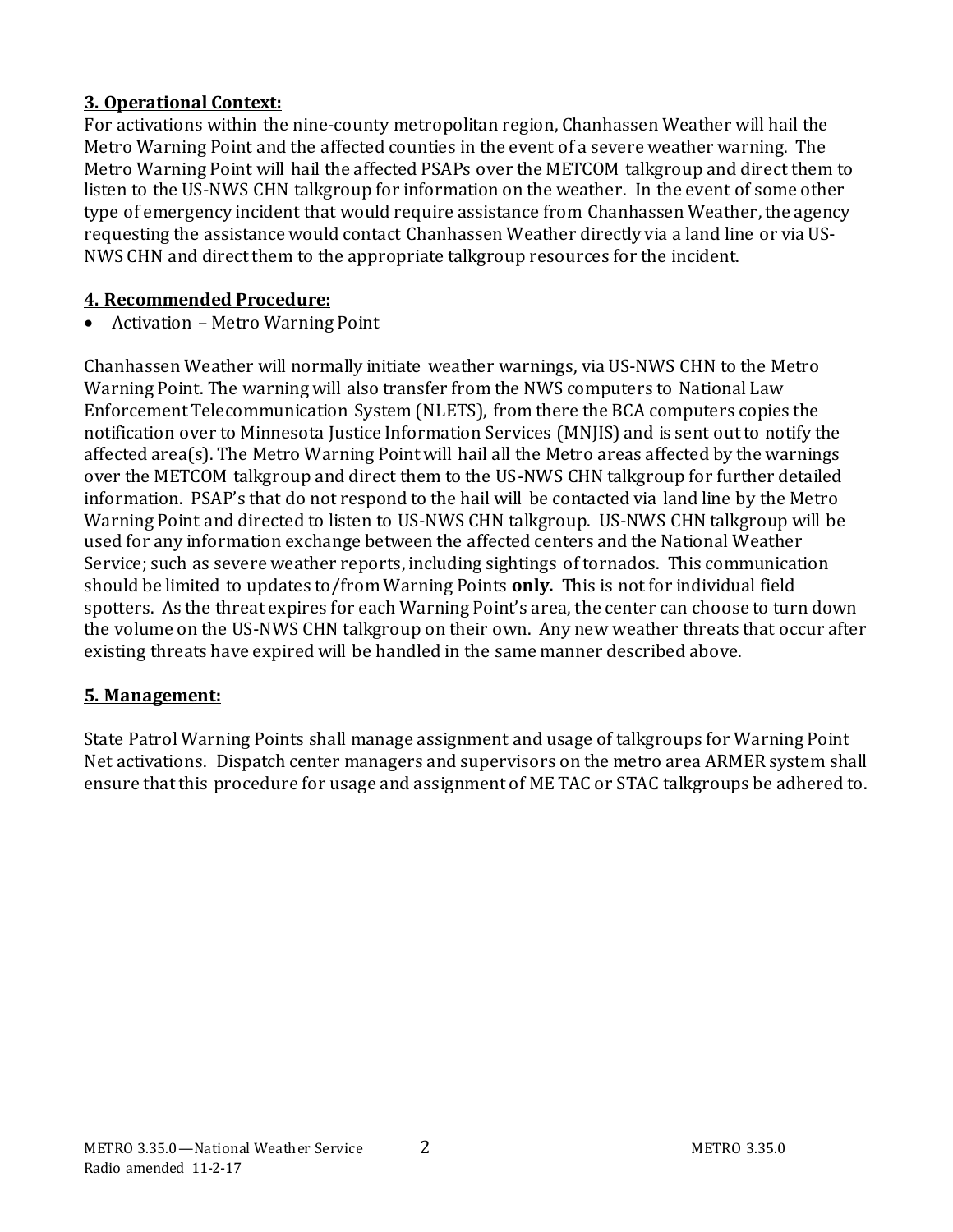# **3. Operational Context:**

For activations within the nine-county metropolitan region, Chanhassen Weather will hail the Metro Warning Point and the affected counties in the event of a severe weather warning. The Metro Warning Point will hail the affected PSAPs over the METCOM talkgroup and direct them to listen to the US-NWS CHN talkgroup for information on the weather. In the event of some other type of emergency incident that would require assistance from Chanhassen Weather, the agency requesting the assistance would contact Chanhassen Weather directly via a land line or via US-NWS CHN and direct them to the appropriate talkgroup resources for the incident.

# **4. Recommended Procedure:**

• Activation – Metro Warning Point

Chanhassen Weather will normally initiate weather warnings, via US-NWS CHN to the Metro Warning Point. The warning will also transfer from the NWS computers to National Law Enforcement Telecommunication System (NLETS), from there the BCA computers copies the notification over to Minnesota Justice Information Services (MNJIS) and is sent out to notify the affected area(s). The Metro Warning Point will hail all the Metro areas affected by the warnings over the METCOM talkgroup and direct them to the US-NWS CHN talkgroup for further detailed information. PSAP's that do not respond to the hail will be contacted via land line by the Metro Warning Point and directed to listen to US-NWS CHN talkgroup. US-NWS CHN talkgroup will be used for any information exchange between the affected centers and the National Weather Service; such as severe weather reports, including sightings of tornados. This communication should be limited to updates to/from Warning Points **only.** This is not for individual field spotters. As the threat expires for each Warning Point's area, the center can choose to turn down the volume on the US-NWS CHN talkgroup on their own. Any new weather threats that occur after existing threats have expired will be handled in the same manner described above.

# **5. Management:**

State Patrol Warning Points shall manage assignment and usage of talkgroups for Warning Point Net activations. Dispatch center managers and supervisors on the metro area ARMER system shall ensure that this procedure for usage and assignment of ME TAC or STAC talkgroups be adhered to.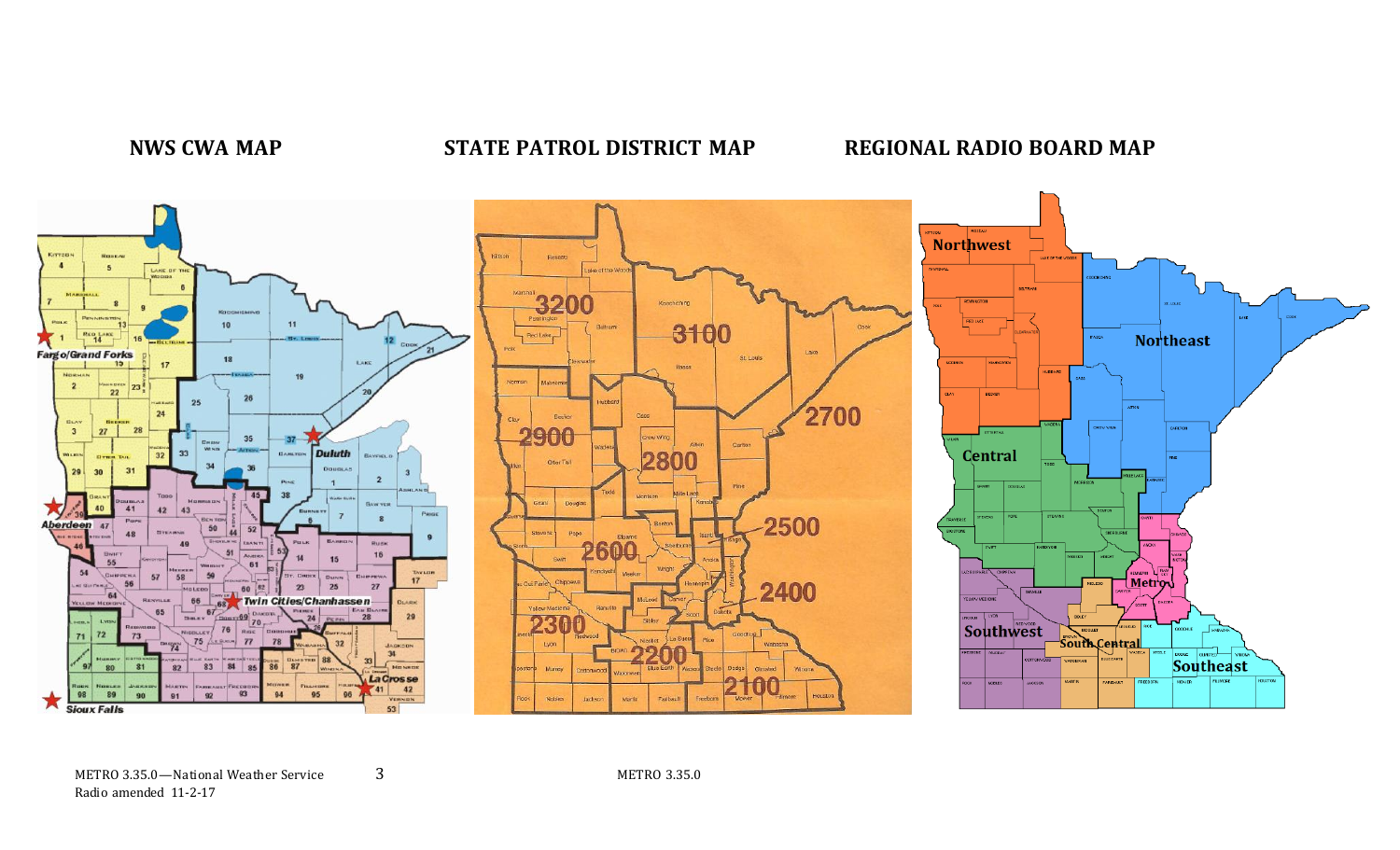# **NWS CWA MAP STATE PATROL DISTRICT MAP REGIONAL RADIO BOARD MAP**

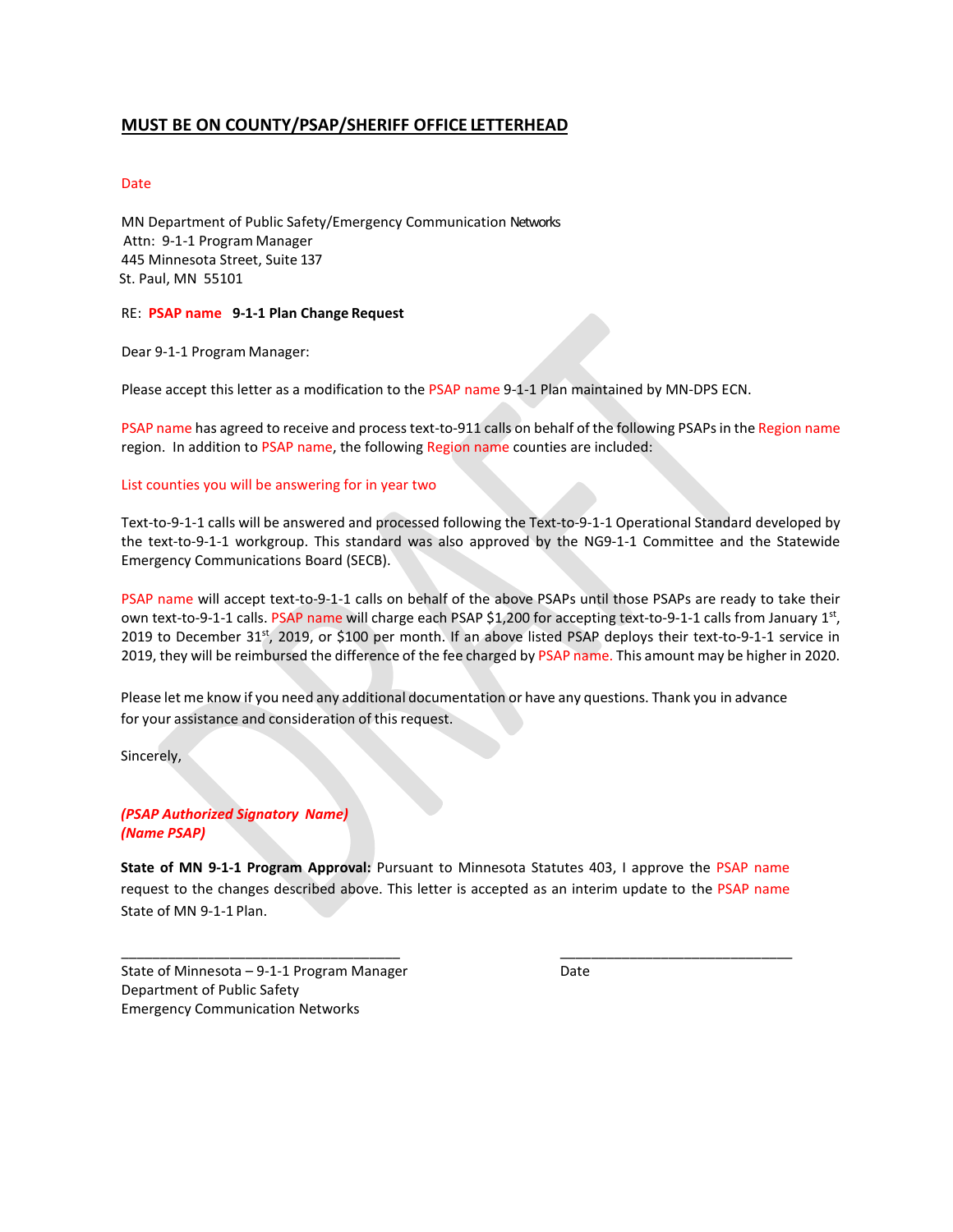#### **MUST BE ON COUNTY/PSAP/SHERIFF OFFICE LETTERHEAD**

#### Date

MN Department of Public Safety/Emergency Communication Networks Attn: 9-1-1 Program Manager 445 Minnesota Street, Suite 137 St. Paul, MN 55101

#### RE: **PSAP name 9-1-1 Plan Change Request**

Dear 9-1-1 Program Manager:

Please accept this letter as a modification to the PSAP name 9-1-1 Plan maintained by MN-DPS ECN.

PSAP name has agreed to receive and process text-to-911 calls on behalf of the following PSAPs in the Region name region. In addition to PSAP name, the following Region name counties are included:

#### List counties you will be answering for in year two

Text-to-9-1-1 calls will be answered and processed following the Text-to-9-1-1 Operational Standard developed by the text-to-9-1-1 workgroup. This standard was also approved by the NG9-1-1 Committee and the Statewide Emergency Communications Board (SECB).

PSAP name will accept text-to-9-1-1 calls on behalf of the above PSAPs until those PSAPs are ready to take their own text-to-9-1-1 calls. PSAP name will charge each PSAP \$1,200 for accepting text-to-9-1-1 calls from January 1st, 2019 to December 31st, 2019, or \$100 per month. If an above listed PSAP deploys their text-to-9-1-1 service in 2019, they will be reimbursed the difference of the fee charged by PSAP name. This amount may be higher in 2020.

Please let me know if you need any additional documentation or have any questions. Thank you in advance for your assistance and consideration of this request.

Sincerely,

#### *(PSAP Authorized Signatory Name) (Name PSAP)*

**State of MN 9-1-1 Program Approval:** Pursuant to Minnesota Statutes 403, I approve the PSAP name request to the changes described above. This letter is accepted as an interim update to the PSAP name State of MN 9-1-1 Plan.

\_\_\_\_\_\_\_\_\_\_\_\_\_\_\_\_\_\_\_\_\_\_\_\_\_\_\_\_\_\_\_\_\_\_\_\_ \_\_\_\_\_\_\_\_\_\_\_\_\_\_\_\_\_\_\_\_\_\_\_\_\_\_\_\_\_\_

State of Minnesota  $-9-1-1$  Program Manager Date Department of Public Safety Emergency Communication Networks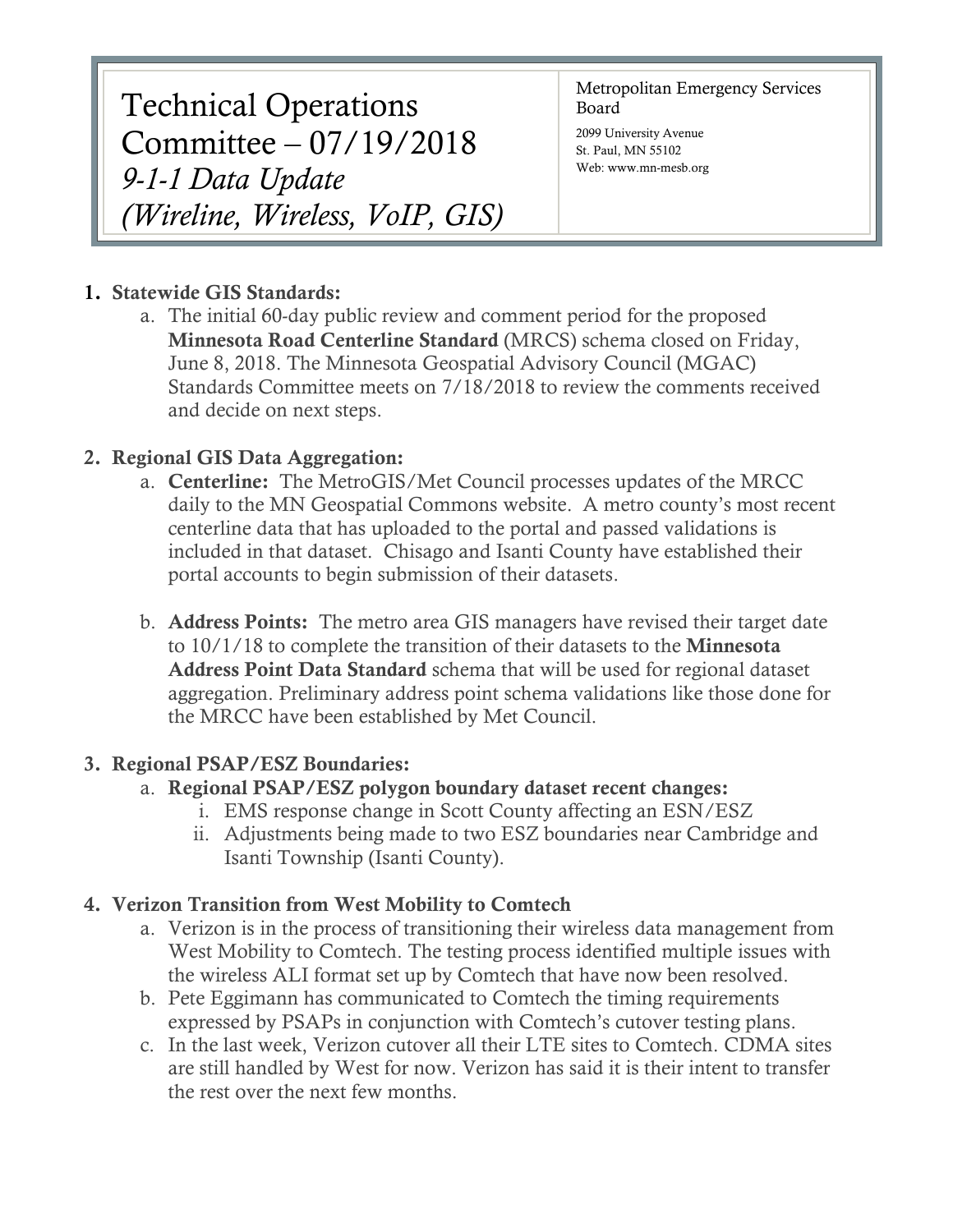Technical Operations Committee – 07/19/2018 *9-1-1 Data Update (Wireline, Wireless, VoIP, GIS)* Metropolitan Emergency Services Board

2099 University Avenue St. Paul, MN 55102 Web: www.mn-mesb.org

# 1. Statewide GIS Standards:

a. The initial 60-day public review and comment period for the proposed Minnesota Road Centerline Standard (MRCS) schema closed on Friday, June 8, 2018. The Minnesota Geospatial Advisory Council (MGAC) Standards Committee meets on 7/18/2018 to review the comments received and decide on next steps.

# 2. Regional GIS Data Aggregation:

- a. Centerline: The MetroGIS/Met Council processes updates of the MRCC daily to the MN Geospatial Commons website. A metro county's most recent centerline data that has uploaded to the portal and passed validations is included in that dataset. Chisago and Isanti County have established their portal accounts to begin submission of their datasets.
- b. **Address Points:** The metro area GIS managers have revised their target date to 10/1/18 to complete the transition of their datasets to the Minnesota Address Point Data Standard schema that will be used for regional dataset aggregation. Preliminary address point schema validations like those done for the MRCC have been established by Met Council.

# 3. Regional PSAP/ESZ Boundaries:

# a. Regional PSAP/ESZ polygon boundary dataset recent changes:

- i. EMS response change in Scott County affecting an ESN/ESZ
- ii. Adjustments being made to two ESZ boundaries near Cambridge and Isanti Township (Isanti County).

# 4. Verizon Transition from West Mobility to Comtech

- a. Verizon is in the process of transitioning their wireless data management from West Mobility to Comtech. The testing process identified multiple issues with the wireless ALI format set up by Comtech that have now been resolved.
- b. Pete Eggimann has communicated to Comtech the timing requirements expressed by PSAPs in conjunction with Comtech's cutover testing plans.
- c. In the last week, Verizon cutover all their LTE sites to Comtech. CDMA sites are still handled by West for now. Verizon has said it is their intent to transfer the rest over the next few months.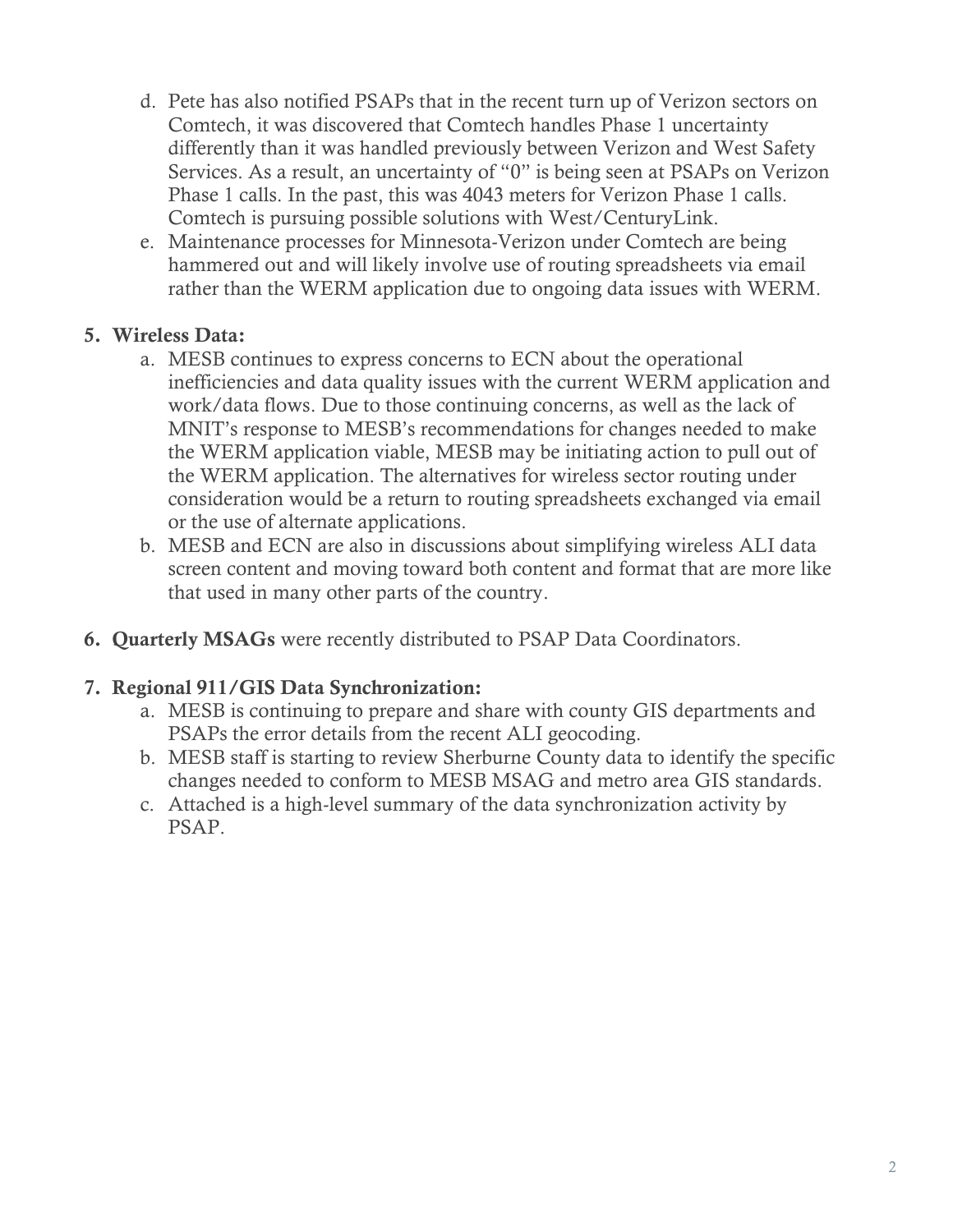- d. Pete has also notified PSAPs that in the recent turn up of Verizon sectors on Comtech, it was discovered that Comtech handles Phase 1 uncertainty differently than it was handled previously between Verizon and West Safety Services. As a result, an uncertainty of "0" is being seen at PSAPs on Verizon Phase 1 calls. In the past, this was 4043 meters for Verizon Phase 1 calls. Comtech is pursuing possible solutions with West/CenturyLink.
- e. Maintenance processes for Minnesota-Verizon under Comtech are being hammered out and will likely involve use of routing spreadsheets via email rather than the WERM application due to ongoing data issues with WERM.

# 5. Wireless Data:

- a. MESB continues to express concerns to ECN about the operational inefficiencies and data quality issues with the current WERM application and work/data flows. Due to those continuing concerns, as well as the lack of MNIT's response to MESB's recommendations for changes needed to make the WERM application viable, MESB may be initiating action to pull out of the WERM application. The alternatives for wireless sector routing under consideration would be a return to routing spreadsheets exchanged via email or the use of alternate applications.
- b. MESB and ECN are also in discussions about simplifying wireless ALI data screen content and moving toward both content and format that are more like that used in many other parts of the country.
- 6. Quarterly MSAGs were recently distributed to PSAP Data Coordinators.

# 7. Regional 911/GIS Data Synchronization:

- a. MESB is continuing to prepare and share with county GIS departments and PSAPs the error details from the recent ALI geocoding.
- b. MESB staff is starting to review Sherburne County data to identify the specific changes needed to conform to MESB MSAG and metro area GIS standards.
- c. Attached is a high-level summary of the data synchronization activity by PSAP.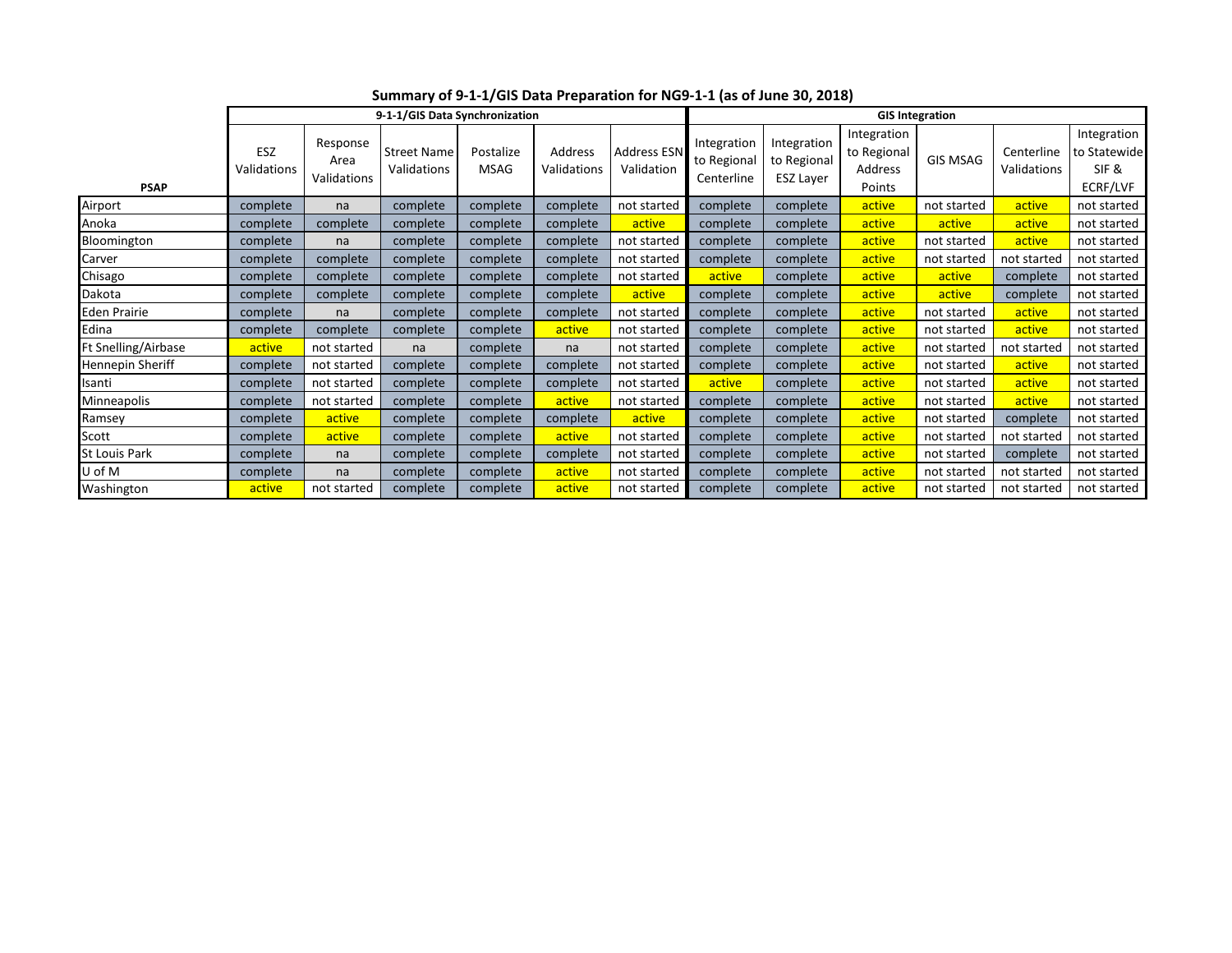|                     | 9-1-1/GIS Data Synchronization |                                 |                                   |                          |                        |                                  | <b>GIS Integration</b>                   |                                                |                                                 |                 |                           |                                                  |  |
|---------------------|--------------------------------|---------------------------------|-----------------------------------|--------------------------|------------------------|----------------------------------|------------------------------------------|------------------------------------------------|-------------------------------------------------|-----------------|---------------------------|--------------------------------------------------|--|
| <b>PSAP</b>         | ESZ<br>Validations             | Response<br>Area<br>Validations | <b>Street Name</b><br>Validations | Postalize<br><b>MSAG</b> | Address<br>Validations | <b>Address ESN</b><br>Validation | Integration<br>to Regional<br>Centerline | Integration<br>to Regional<br><b>ESZ Layer</b> | Integration<br>to Regional<br>Address<br>Points | <b>GIS MSAG</b> | Centerline<br>Validations | Integration<br>to Statewide<br>SIF &<br>ECRF/LVF |  |
| Airport             | complete                       | na                              | complete                          | complete                 | complete               | not started                      | complete                                 | complete                                       | active                                          | not started     | active                    | not started                                      |  |
| Anoka               | complete                       | complete                        | complete                          | complete                 | complete               | active                           | complete                                 | complete                                       | active                                          | active          | active                    | not started                                      |  |
| Bloomington         | complete                       | na                              | complete                          | complete                 | complete               | not started                      | complete                                 | complete                                       | active                                          | not started     | active                    | not started                                      |  |
| Carver              | complete                       | complete                        | complete                          | complete                 | complete               | not started                      | complete                                 | complete                                       | active                                          | not started     | not started               | not started                                      |  |
| Chisago             | complete                       | complete                        | complete                          | complete                 | complete               | not started                      | active                                   | complete                                       | active                                          | active          | complete                  | not started                                      |  |
| Dakota              | complete                       | complete                        | complete                          | complete                 | complete               | active                           | complete                                 | complete                                       | active                                          | active          | complete                  | not started                                      |  |
| Eden Prairie        | complete                       | na                              | complete                          | complete                 | complete               | not started                      | complete                                 | complete                                       | active                                          | not started     | active                    | not started                                      |  |
| Edina               | complete                       | complete                        | complete                          | complete                 | active                 | not started                      | complete                                 | complete                                       | active                                          | not started     | active                    | not started                                      |  |
| Ft Snelling/Airbase | active                         | not started                     | na                                | complete                 | na                     | not started                      | complete                                 | complete                                       | active                                          | not started     | not started               | not started                                      |  |
| Hennepin Sheriff    | complete                       | not started                     | complete                          | complete                 | complete               | not started                      | complete                                 | complete                                       | active                                          | not started     | active                    | not started                                      |  |
| Isanti              | complete                       | not started                     | complete                          | complete                 | complete               | not started                      | active                                   | complete                                       | active                                          | not started     | active                    | not started                                      |  |
| Minneapolis         | complete                       | not started                     | complete                          | complete                 | active                 | not started                      | complete                                 | complete                                       | active                                          | not started     | active                    | not started                                      |  |
| Ramsey              | complete                       | active                          | complete                          | complete                 | complete               | active                           | complete                                 | complete                                       | active                                          | not started     | complete                  | not started                                      |  |
| Scott               | complete                       | active                          | complete                          | complete                 | active                 | not started                      | complete                                 | complete                                       | active                                          | not started     | not started               | not started                                      |  |
| St Louis Park       | complete                       | na                              | complete                          | complete                 | complete               | not started                      | complete                                 | complete                                       | active                                          | not started     | complete                  | not started                                      |  |
| U of M              | complete                       | na                              | complete                          | complete                 | active                 | not started                      | complete                                 | complete                                       | active                                          | not started     | not started               | not started                                      |  |
| Washington          | active                         | not started                     | complete                          | complete                 | active                 | not started                      | complete                                 | complete                                       | active                                          | not started     | not started               | not started                                      |  |

**Summary of 9-1-1/GIS Data Preparation for NG9-1-1 (as of June 30, 2018)**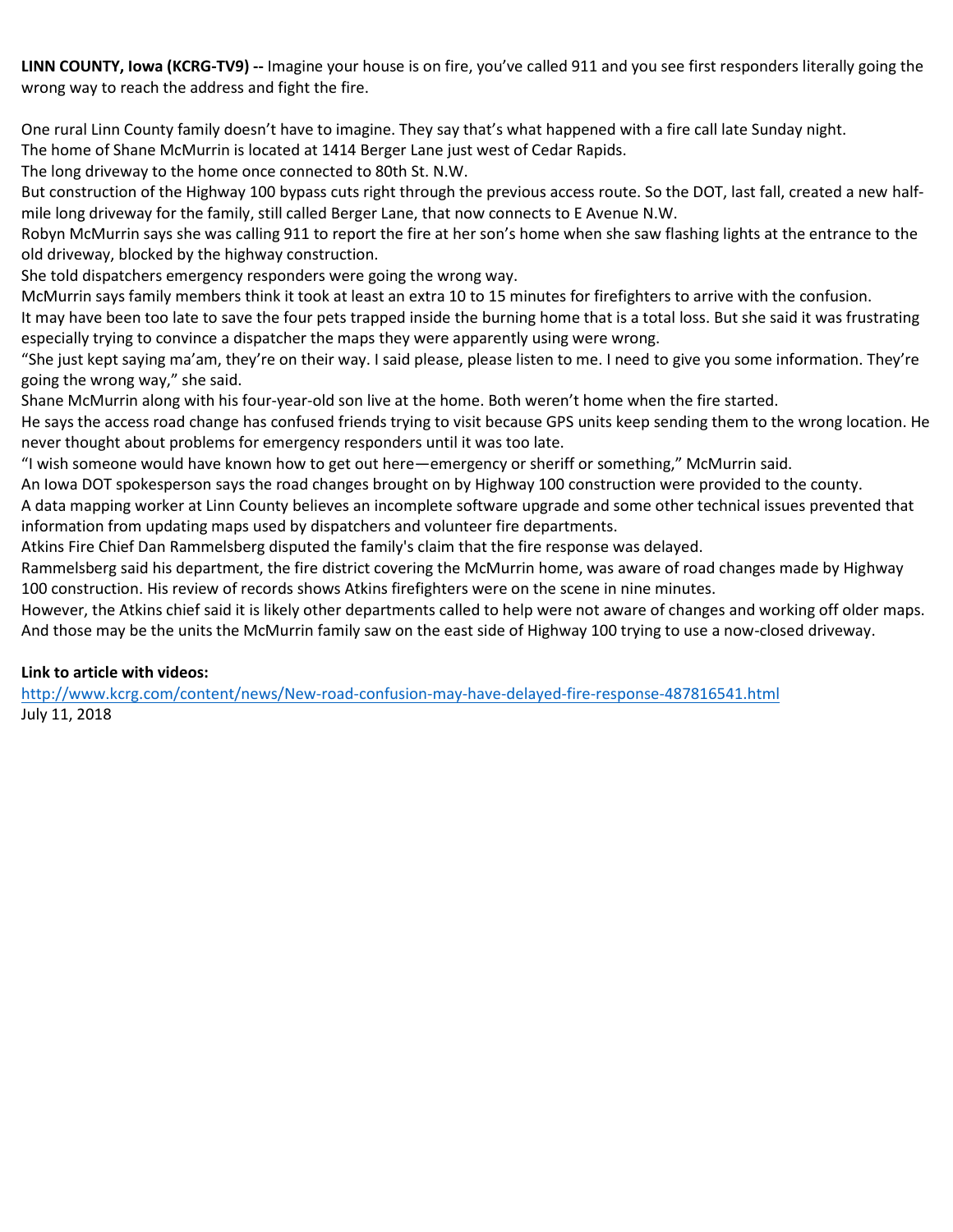**LINN COUNTY, Iowa (KCRG-TV9) --** Imagine your house is on fire, you've called 911 and you see first responders literally going the wrong way to reach the address and fight the fire.

One rural Linn County family doesn't have to imagine. They say that's what happened with a fire call late Sunday night.

The home of Shane McMurrin is located at 1414 Berger Lane just west of Cedar Rapids.

The long driveway to the home once connected to 80th St. N.W.

But construction of the Highway 100 bypass cuts right through the previous access route. So the DOT, last fall, created a new halfmile long driveway for the family, still called Berger Lane, that now connects to E Avenue N.W.

Robyn McMurrin says she was calling 911 to report the fire at her son's home when she saw flashing lights at the entrance to the old driveway, blocked by the highway construction.

She told dispatchers emergency responders were going the wrong way.

McMurrin says family members think it took at least an extra 10 to 15 minutes for firefighters to arrive with the confusion.

It may have been too late to save the four pets trapped inside the burning home that is a total loss. But she said it was frustrating especially trying to convince a dispatcher the maps they were apparently using were wrong.

"She just kept saying ma'am, they're on their way. I said please, please listen to me. I need to give you some information. They're going the wrong way," she said.

Shane McMurrin along with his four-year-old son live at the home. Both weren't home when the fire started.

He says the access road change has confused friends trying to visit because GPS units keep sending them to the wrong location. He never thought about problems for emergency responders until it was too late.

"I wish someone would have known how to get out here—emergency or sheriff or something," McMurrin said.

An Iowa DOT spokesperson says the road changes brought on by Highway 100 construction were provided to the county.

A data mapping worker at Linn County believes an incomplete software upgrade and some other technical issues prevented that information from updating maps used by dispatchers and volunteer fire departments.

Atkins Fire Chief Dan Rammelsberg disputed the family's claim that the fire response was delayed.

Rammelsberg said his department, the fire district covering the McMurrin home, was aware of road changes made by Highway 100 construction. His review of records shows Atkins firefighters were on the scene in nine minutes.

However, the Atkins chief said it is likely other departments called to help were not aware of changes and working off older maps. And those may be the units the McMurrin family saw on the east side of Highway 100 trying to use a now-closed driveway.

### **Link to article with videos:**

<http://www.kcrg.com/content/news/New-road-confusion-may-have-delayed-fire-response-487816541.html> July 11, 2018